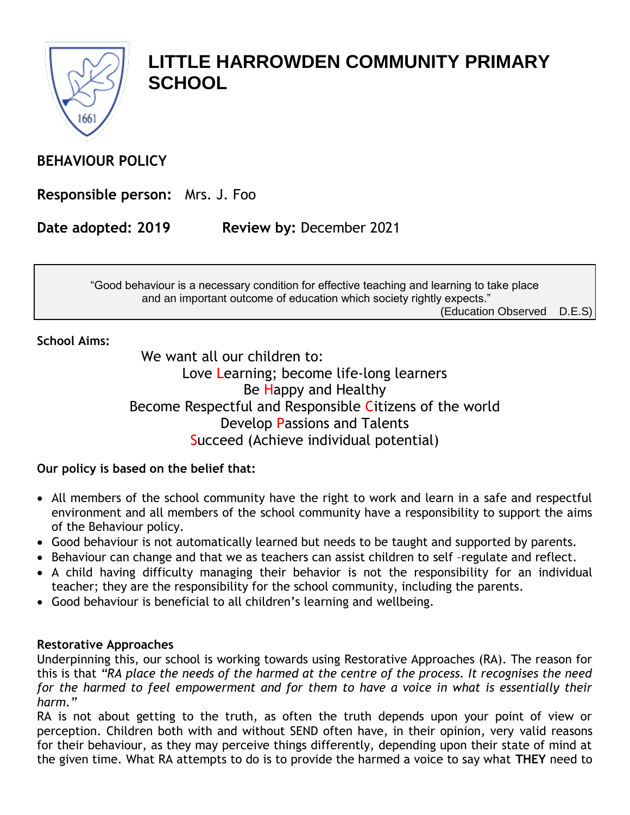

# **LITTLE HARROWDEN COMMUNITY PRIMARY SCHOOL**

## **BEHAVIOUR POLICY**

**Responsible person:** Mrs. J. Foo

**Date adopted: 2019 Review by:** December 2021

"Good behaviour is a necessary condition for effective teaching and learning to take place and an important outcome of education which society rightly expects."

(Education Observed D.E.S)

### **School Aims:**

We want all our children to: Love Learning; become life-long learners Be Happy and Healthy Become Respectful and Responsible Citizens of the world Develop Passions and Talents Succeed (Achieve individual potential)

### **Our policy is based on the belief that:**

- All members of the school community have the right to work and learn in a safe and respectful environment and all members of the school community have a responsibility to support the aims of the Behaviour policy.
- Good behaviour is not automatically learned but needs to be taught and supported by parents.
- Behaviour can change and that we as teachers can assist children to self -regulate and reflect.
- A child having difficulty managing their behavior is not the responsibility for an individual teacher; they are the responsibility for the school community, including the parents.
- Good behaviour is beneficial to all children's learning and wellbeing.

### **Restorative Approaches**

Underpinning this, our school is working towards using Restorative Approaches (RA). The reason for this is that *"RA place the needs of the harmed at the centre of the process. It recognises the need*  for the harmed to feel empowerment and for them to have a voice in what is essentially their *harm."* 

RA is not about getting to the truth, as often the truth depends upon your point of view or perception. Children both with and without SEND often have, in their opinion, very valid reasons for their behaviour, as they may perceive things differently, depending upon their state of mind at the given time. What RA attempts to do is to provide the harmed a voice to say what **THEY** need to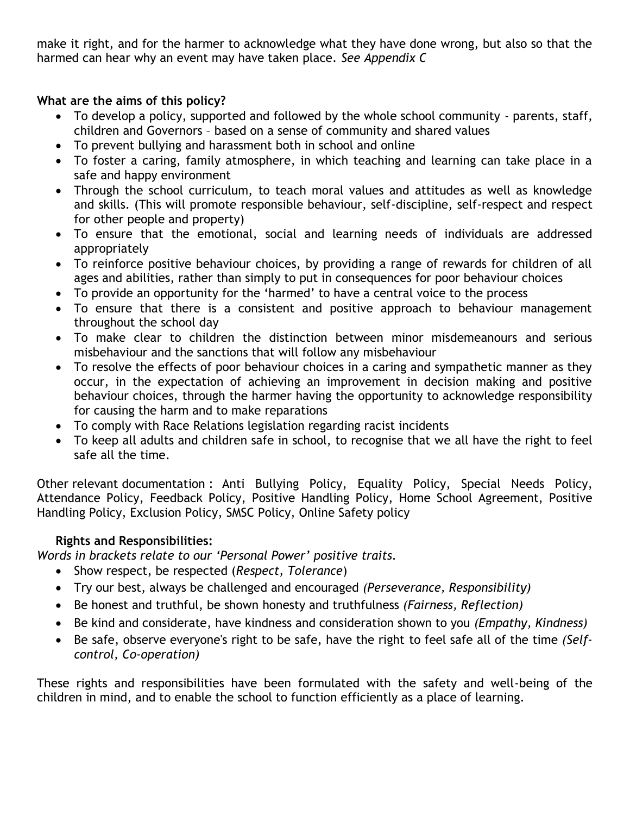make it right, and for the harmer to acknowledge what they have done wrong, but also so that the harmed can hear why an event may have taken place. *See Appendix C*

### **What are the aims of this policy?**

- To develop a policy, supported and followed by the whole school community parents, staff, children and Governors – based on a sense of community and shared values
- To prevent bullying and harassment both in school and online
- To foster a caring, family atmosphere, in which teaching and learning can take place in a safe and happy environment
- Through the school curriculum, to teach moral values and attitudes as well as knowledge and skills. (This will promote responsible behaviour, self-discipline, self-respect and respect for other people and property)
- To ensure that the emotional, social and learning needs of individuals are addressed appropriately
- To reinforce positive behaviour choices, by providing a range of rewards for children of all ages and abilities, rather than simply to put in consequences for poor behaviour choices
- To provide an opportunity for the 'harmed' to have a central voice to the process
- To ensure that there is a consistent and positive approach to behaviour management throughout the school day
- To make clear to children the distinction between minor misdemeanours and serious misbehaviour and the sanctions that will follow any misbehaviour
- To resolve the effects of poor behaviour choices in a caring and sympathetic manner as they occur, in the expectation of achieving an improvement in decision making and positive behaviour choices, through the harmer having the opportunity to acknowledge responsibility for causing the harm and to make reparations
- To comply with Race Relations legislation regarding racist incidents
- To keep all adults and children safe in school, to recognise that we all have the right to feel safe all the time.

Other relevant documentation : Anti Bullying Policy, Equality Policy, Special Needs Policy, Attendance Policy, Feedback Policy, Positive Handling Policy, Home School Agreement, Positive Handling Policy, Exclusion Policy, SMSC Policy, Online Safety policy

### **Rights and Responsibilities:**

*Words in brackets relate to our 'Personal Power' positive traits.* 

- Show respect, be respected (*Respect, Tolerance*)
- Try our best, always be challenged and encouraged *(Perseverance, Responsibility)*
- Be honest and truthful, be shown honesty and truthfulness *(Fairness, Reflection)*
- Be kind and considerate, have kindness and consideration shown to you *(Empathy, Kindness)*
- Be safe, observe everyone's right to be safe, have the right to feel safe all of the time *(Selfcontrol, Co-operation)*

These rights and responsibilities have been formulated with the safety and well-being of the children in mind, and to enable the school to function efficiently as a place of learning.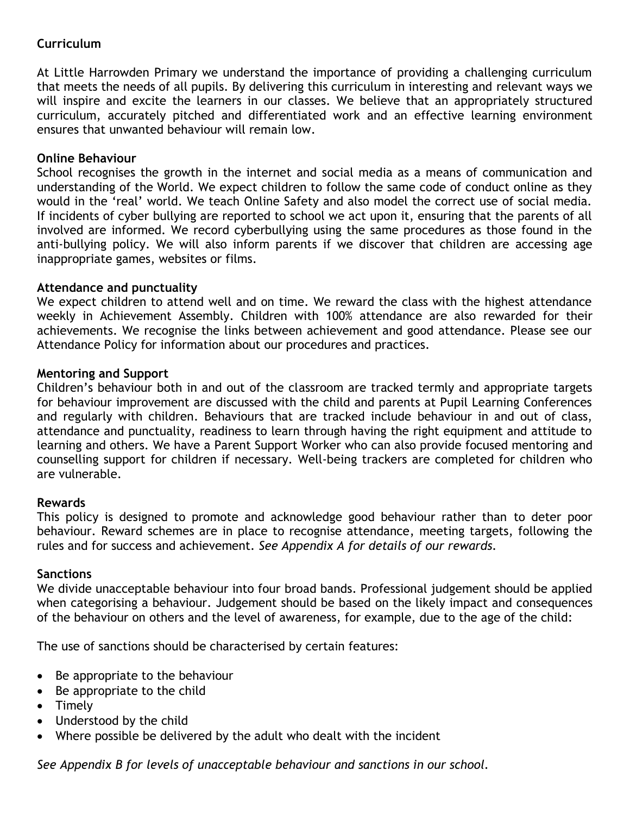### **Curriculum**

At Little Harrowden Primary we understand the importance of providing a challenging curriculum that meets the needs of all pupils. By delivering this curriculum in interesting and relevant ways we will inspire and excite the learners in our classes. We believe that an appropriately structured curriculum, accurately pitched and differentiated work and an effective learning environment ensures that unwanted behaviour will remain low.

### **Online Behaviour**

School recognises the growth in the internet and social media as a means of communication and understanding of the World. We expect children to follow the same code of conduct online as they would in the 'real' world. We teach Online Safety and also model the correct use of social media. If incidents of cyber bullying are reported to school we act upon it, ensuring that the parents of all involved are informed. We record cyberbullying using the same procedures as those found in the anti-bullying policy. We will also inform parents if we discover that children are accessing age inappropriate games, websites or films.

### **Attendance and punctuality**

We expect children to attend well and on time. We reward the class with the highest attendance weekly in Achievement Assembly. Children with 100% attendance are also rewarded for their achievements. We recognise the links between achievement and good attendance. Please see our Attendance Policy for information about our procedures and practices.

### **Mentoring and Support**

Children's behaviour both in and out of the classroom are tracked termly and appropriate targets for behaviour improvement are discussed with the child and parents at Pupil Learning Conferences and regularly with children. Behaviours that are tracked include behaviour in and out of class, attendance and punctuality, readiness to learn through having the right equipment and attitude to learning and others. We have a Parent Support Worker who can also provide focused mentoring and counselling support for children if necessary. Well-being trackers are completed for children who are vulnerable.

### **Rewards**

This policy is designed to promote and acknowledge good behaviour rather than to deter poor behaviour. Reward schemes are in place to recognise attendance, meeting targets, following the rules and for success and achievement. *See Appendix A for details of our rewards.*

### **Sanctions**

We divide unacceptable behaviour into four broad bands. Professional judgement should be applied when categorising a behaviour. Judgement should be based on the likely impact and consequences of the behaviour on others and the level of awareness, for example, due to the age of the child:

The use of sanctions should be characterised by certain features:

- Be appropriate to the behaviour
- Be appropriate to the child
- Timely
- Understood by the child
- Where possible be delivered by the adult who dealt with the incident

*See Appendix B for levels of unacceptable behaviour and sanctions in our school.*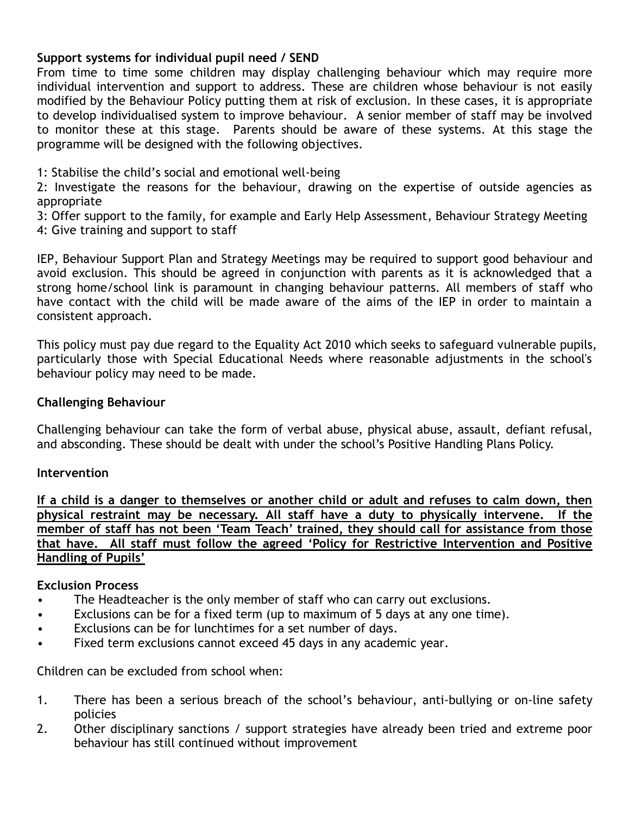### **Support systems for individual pupil need / SEND**

From time to time some children may display challenging behaviour which may require more individual intervention and support to address. These are children whose behaviour is not easily modified by the Behaviour Policy putting them at risk of exclusion. In these cases, it is appropriate to develop individualised system to improve behaviour. A senior member of staff may be involved to monitor these at this stage. Parents should be aware of these systems. At this stage the programme will be designed with the following objectives.

1: Stabilise the child's social and emotional well-being

2: Investigate the reasons for the behaviour, drawing on the expertise of outside agencies as appropriate

3: Offer support to the family, for example and Early Help Assessment, Behaviour Strategy Meeting 4: Give training and support to staff

IEP, Behaviour Support Plan and Strategy Meetings may be required to support good behaviour and avoid exclusion. This should be agreed in conjunction with parents as it is acknowledged that a strong home/school link is paramount in changing behaviour patterns. All members of staff who have contact with the child will be made aware of the aims of the IEP in order to maintain a consistent approach.

This policy must pay due regard to the Equality Act 2010 which seeks to safeguard vulnerable pupils, particularly those with Special Educational Needs where reasonable adjustments in the school's behaviour policy may need to be made.

### **Challenging Behaviour**

Challenging behaviour can take the form of verbal abuse, physical abuse, assault, defiant refusal, and absconding. These should be dealt with under the school's Positive Handling Plans Policy.

### **Intervention**

**If a child is a danger to themselves or another child or adult and refuses to calm down, then physical restraint may be necessary. All staff have a duty to physically intervene. If the member of staff has not been 'Team Teach' trained, they should call for assistance from those that have. All staff must follow the agreed 'Policy for Restrictive Intervention and Positive Handling of Pupils'**

### **Exclusion Process**

- The Headteacher is the only member of staff who can carry out exclusions.
- Exclusions can be for a fixed term (up to maximum of 5 days at any one time).
- Exclusions can be for lunchtimes for a set number of days.
- Fixed term exclusions cannot exceed 45 days in any academic year.

Children can be excluded from school when:

- 1. There has been a serious breach of the school's behaviour, anti-bullying or on-line safety policies
- 2. Other disciplinary sanctions / support strategies have already been tried and extreme poor behaviour has still continued without improvement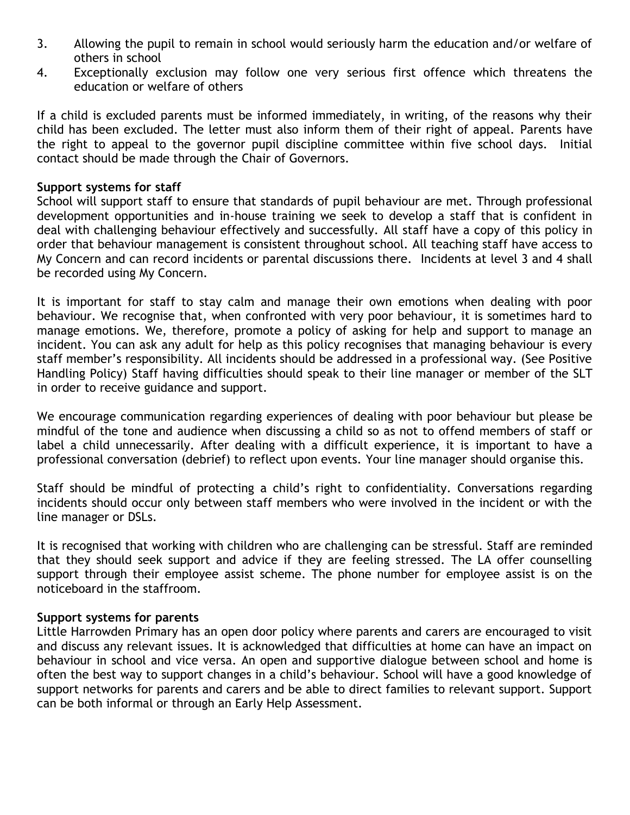- 3. Allowing the pupil to remain in school would seriously harm the education and/or welfare of others in school
- 4. Exceptionally exclusion may follow one very serious first offence which threatens the education or welfare of others

If a child is excluded parents must be informed immediately, in writing, of the reasons why their child has been excluded. The letter must also inform them of their right of appeal. Parents have the right to appeal to the governor pupil discipline committee within five school days. Initial contact should be made through the Chair of Governors.

### **Support systems for staff**

School will support staff to ensure that standards of pupil behaviour are met. Through professional development opportunities and in-house training we seek to develop a staff that is confident in deal with challenging behaviour effectively and successfully. All staff have a copy of this policy in order that behaviour management is consistent throughout school. All teaching staff have access to My Concern and can record incidents or parental discussions there. Incidents at level 3 and 4 shall be recorded using My Concern.

It is important for staff to stay calm and manage their own emotions when dealing with poor behaviour. We recognise that, when confronted with very poor behaviour, it is sometimes hard to manage emotions. We, therefore, promote a policy of asking for help and support to manage an incident. You can ask any adult for help as this policy recognises that managing behaviour is every staff member's responsibility. All incidents should be addressed in a professional way. (See Positive Handling Policy) Staff having difficulties should speak to their line manager or member of the SLT in order to receive guidance and support.

We encourage communication regarding experiences of dealing with poor behaviour but please be mindful of the tone and audience when discussing a child so as not to offend members of staff or label a child unnecessarily. After dealing with a difficult experience, it is important to have a professional conversation (debrief) to reflect upon events. Your line manager should organise this.

Staff should be mindful of protecting a child's right to confidentiality. Conversations regarding incidents should occur only between staff members who were involved in the incident or with the line manager or DSLs.

It is recognised that working with children who are challenging can be stressful. Staff are reminded that they should seek support and advice if they are feeling stressed. The LA offer counselling support through their employee assist scheme. The phone number for employee assist is on the noticeboard in the staffroom.

### **Support systems for parents**

Little Harrowden Primary has an open door policy where parents and carers are encouraged to visit and discuss any relevant issues. It is acknowledged that difficulties at home can have an impact on behaviour in school and vice versa. An open and supportive dialogue between school and home is often the best way to support changes in a child's behaviour. School will have a good knowledge of support networks for parents and carers and be able to direct families to relevant support. Support can be both informal or through an Early Help Assessment.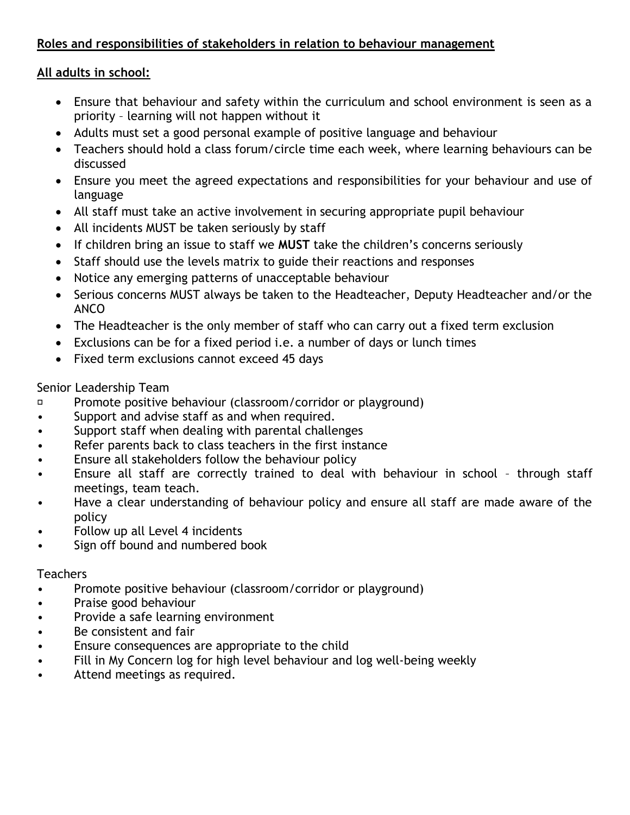### **Roles and responsibilities of stakeholders in relation to behaviour management**

### **All adults in school:**

- Ensure that behaviour and safety within the curriculum and school environment is seen as a priority – learning will not happen without it
- Adults must set a good personal example of positive language and behaviour
- Teachers should hold a class forum/circle time each week, where learning behaviours can be discussed
- Ensure you meet the agreed expectations and responsibilities for your behaviour and use of language
- All staff must take an active involvement in securing appropriate pupil behaviour
- All incidents MUST be taken seriously by staff
- If children bring an issue to staff we **MUST** take the children's concerns seriously
- Staff should use the levels matrix to guide their reactions and responses
- Notice any emerging patterns of unacceptable behaviour
- Serious concerns MUST always be taken to the Headteacher, Deputy Headteacher and/or the ANCO
- The Headteacher is the only member of staff who can carry out a fixed term exclusion
- Exclusions can be for a fixed period i.e. a number of days or lunch times
- Fixed term exclusions cannot exceed 45 days

### Senior Leadership Team

- $\Box$ Promote positive behaviour (classroom/corridor or playground)
- Support and advise staff as and when required.
- Support staff when dealing with parental challenges
- Refer parents back to class teachers in the first instance
- Ensure all stakeholders follow the behaviour policy
- Ensure all staff are correctly trained to deal with behaviour in school through staff meetings, team teach.
- Have a clear understanding of behaviour policy and ensure all staff are made aware of the policy
- Follow up all Level 4 incidents
- Sign off bound and numbered book

### Teachers

- Promote positive behaviour (classroom/corridor or playground)
- Praise good behaviour
- Provide a safe learning environment
- Be consistent and fair
- Ensure consequences are appropriate to the child
- Fill in My Concern log for high level behaviour and log well-being weekly
- Attend meetings as required.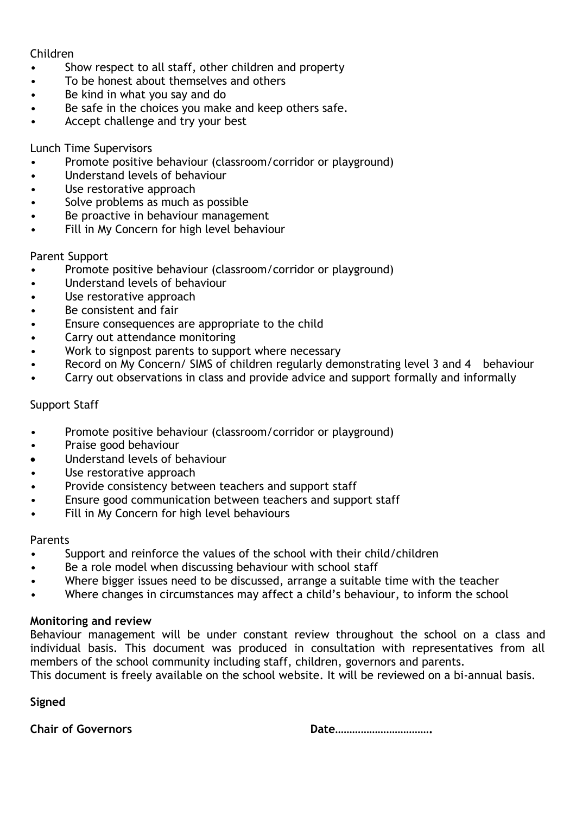### Children

- Show respect to all staff, other children and property
- To be honest about themselves and others
- Be kind in what you say and do
- Be safe in the choices you make and keep others safe.
- Accept challenge and try your best

### Lunch Time Supervisors

- Promote positive behaviour (classroom/corridor or playground)
- Understand levels of behaviour
- Use restorative approach
- Solve problems as much as possible
- Be proactive in behaviour management
- Fill in My Concern for high level behaviour

### Parent Support

- Promote positive behaviour (classroom/corridor or playground)
- Understand levels of behaviour
- Use restorative approach
- Be consistent and fair
- Ensure consequences are appropriate to the child
- Carry out attendance monitoring
- Work to signpost parents to support where necessary
- Record on My Concern/ SIMS of children regularly demonstrating level 3 and 4 behaviour
- Carry out observations in class and provide advice and support formally and informally

### Support Staff

- Promote positive behaviour (classroom/corridor or playground)
- Praise good behaviour
- Understand levels of behaviour
- Use restorative approach
- Provide consistency between teachers and support staff
- Ensure good communication between teachers and support staff
- Fill in My Concern for high level behaviours

### Parents

- Support and reinforce the values of the school with their child/children
- Be a role model when discussing behaviour with school staff
- Where bigger issues need to be discussed, arrange a suitable time with the teacher
- Where changes in circumstances may affect a child's behaviour, to inform the school

### **Monitoring and review**

Behaviour management will be under constant review throughout the school on a class and individual basis. This document was produced in consultation with representatives from all members of the school community including staff, children, governors and parents.

This document is freely available on the school website. It will be reviewed on a bi-annual basis.

**Signed**

**Chair of Governors Date Date Date Date Date Date Date Date Date Date Date Date Date Date Date Date D**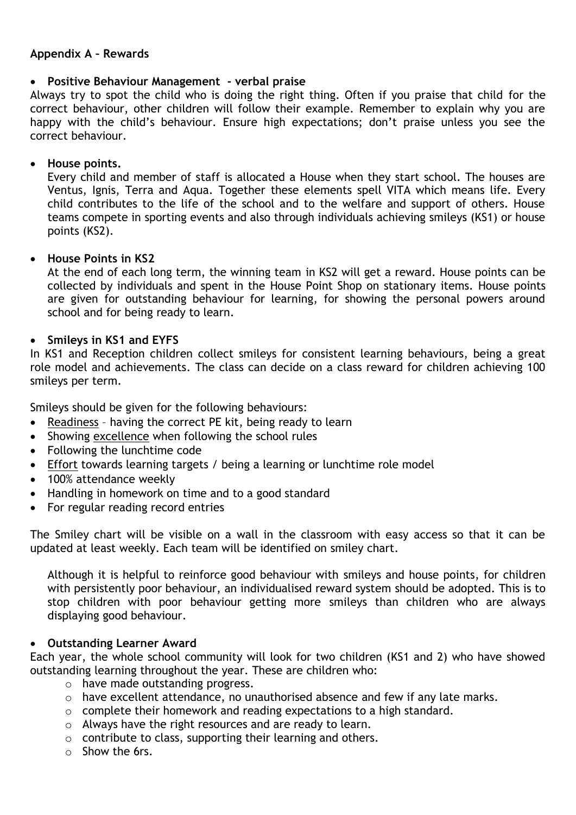### **Appendix A – Rewards**

### **Positive Behaviour Management - verbal praise**

Always try to spot the child who is doing the right thing. Often if you praise that child for the correct behaviour, other children will follow their example. Remember to explain why you are happy with the child's behaviour. Ensure high expectations; don't praise unless you see the correct behaviour.

### **House points.**

Every child and member of staff is allocated a House when they start school. The houses are Ventus, Ignis, Terra and Aqua. Together these elements spell VITA which means life. Every child contributes to the life of the school and to the welfare and support of others. House teams compete in sporting events and also through individuals achieving smileys (KS1) or house points (KS2).

### **House Points in KS2**

At the end of each long term, the winning team in KS2 will get a reward. House points can be collected by individuals and spent in the House Point Shop on stationary items. House points are given for outstanding behaviour for learning, for showing the personal powers around school and for being ready to learn.

### **Smileys in KS1 and EYFS**

In KS1 and Reception children collect smileys for consistent learning behaviours, being a great role model and achievements. The class can decide on a class reward for children achieving 100 smileys per term.

Smileys should be given for the following behaviours:

- Readiness having the correct PE kit, being ready to learn
- Showing excellence when following the school rules
- Following the lunchtime code
- Effort towards learning targets / being a learning or lunchtime role model
- 100% attendance weekly
- Handling in homework on time and to a good standard
- For regular reading record entries

The Smiley chart will be visible on a wall in the classroom with easy access so that it can be updated at least weekly. Each team will be identified on smiley chart.

Although it is helpful to reinforce good behaviour with smileys and house points, for children with persistently poor behaviour, an individualised reward system should be adopted. This is to stop children with poor behaviour getting more smileys than children who are always displaying good behaviour.

### **Outstanding Learner Award**

Each year, the whole school community will look for two children (KS1 and 2) who have showed outstanding learning throughout the year. These are children who:

- o have made outstanding progress.
- o have excellent attendance, no unauthorised absence and few if any late marks.
- o complete their homework and reading expectations to a high standard.
- o Always have the right resources and are ready to learn.
- o contribute to class, supporting their learning and others.
- o Show the 6rs.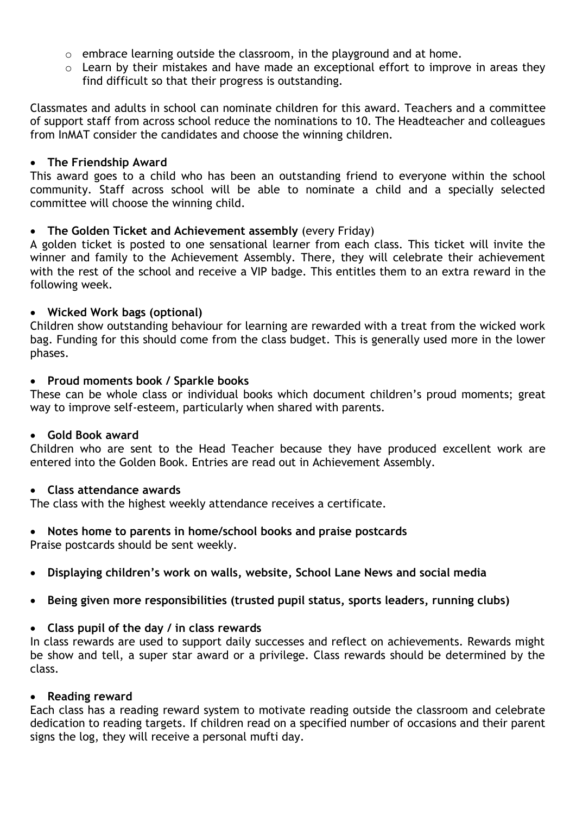- o embrace learning outside the classroom, in the playground and at home.
- o Learn by their mistakes and have made an exceptional effort to improve in areas they find difficult so that their progress is outstanding.

Classmates and adults in school can nominate children for this award. Teachers and a committee of support staff from across school reduce the nominations to 10. The Headteacher and colleagues from InMAT consider the candidates and choose the winning children.

#### **The Friendship Award**

This award goes to a child who has been an outstanding friend to everyone within the school community. Staff across school will be able to nominate a child and a specially selected committee will choose the winning child.

### **The Golden Ticket and Achievement assembly** (every Friday)

A golden ticket is posted to one sensational learner from each class. This ticket will invite the winner and family to the Achievement Assembly. There, they will celebrate their achievement with the rest of the school and receive a VIP badge. This entitles them to an extra reward in the following week.

#### **Wicked Work bags (optional)**

Children show outstanding behaviour for learning are rewarded with a treat from the wicked work bag. Funding for this should come from the class budget. This is generally used more in the lower phases.

#### **Proud moments book / Sparkle books**

These can be whole class or individual books which document children's proud moments; great way to improve self-esteem, particularly when shared with parents.

#### **Gold Book award**

Children who are sent to the Head Teacher because they have produced excellent work are entered into the Golden Book. Entries are read out in Achievement Assembly.

#### **Class attendance awards**

The class with the highest weekly attendance receives a certificate.

### **Notes home to parents in home/school books and praise postcards**

Praise postcards should be sent weekly.

- **Displaying children's work on walls, website, School Lane News and social media**
- **Being given more responsibilities (trusted pupil status, sports leaders, running clubs)**

### **Class pupil of the day / in class rewards**

In class rewards are used to support daily successes and reflect on achievements. Rewards might be show and tell, a super star award or a privilege. Class rewards should be determined by the class.

### **Reading reward**

Each class has a reading reward system to motivate reading outside the classroom and celebrate dedication to reading targets. If children read on a specified number of occasions and their parent signs the log, they will receive a personal mufti day.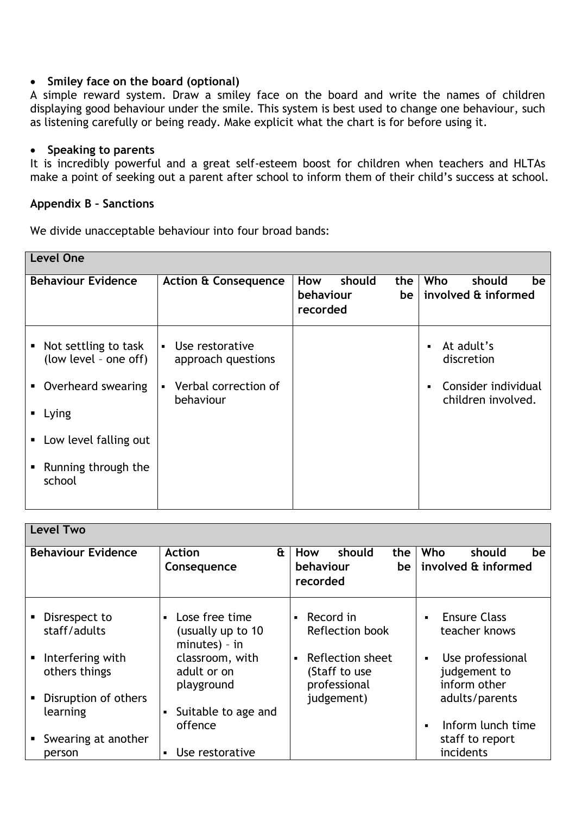### **Smiley face on the board (optional)**

A simple reward system. Draw a smiley face on the board and write the names of children displaying good behaviour under the smile. This system is best used to change one behaviour, such as listening carefully or being ready. Make explicit what the chart is for before using it.

### **Speaking to parents**

It is incredibly powerful and a great self-esteem boost for children when teachers and HLTAs make a point of seeking out a parent after school to inform them of their child's success at school.

#### **Appendix B – Sanctions**

We divide unacceptable behaviour into four broad bands:

| <b>Level One</b>                                                                                                                                                                              |                                                                                                |                                                     |                                                                                                           |
|-----------------------------------------------------------------------------------------------------------------------------------------------------------------------------------------------|------------------------------------------------------------------------------------------------|-----------------------------------------------------|-----------------------------------------------------------------------------------------------------------|
| <b>Behaviour Evidence</b>                                                                                                                                                                     | <b>Action &amp; Consequence</b>                                                                | should<br>How<br>the<br>behaviour<br>be<br>recorded | Who<br>should<br>be<br>involved & informed                                                                |
| • Not settling to task<br>(low level - one off)<br>Overheard swearing<br>$\blacksquare$ .<br>$\blacksquare$ Lying<br>Low level falling out<br>$\blacksquare$<br>Running through the<br>school | • Use restorative<br>approach questions<br>Verbal correction of<br>$\blacksquare$<br>behaviour |                                                     | At adult's<br>$\blacksquare$<br>discretion<br>Consider individual<br>$\blacksquare$<br>children involved. |

| <b>Level Two</b>                  |                                                           |                                                                     |                                                   |
|-----------------------------------|-----------------------------------------------------------|---------------------------------------------------------------------|---------------------------------------------------|
| <b>Behaviour Evidence</b>         | $\mathbf{a}$<br><b>Action</b><br>Consequence              | should<br>How<br>the<br>behaviour<br>be <sub>1</sub>                | Who<br>should<br>be.<br>involved & informed       |
|                                   |                                                           | recorded                                                            |                                                   |
| Disrespect to<br>staff/adults     | • Lose free time<br>(usually up to 10)<br>$minutes) - in$ | Record in<br>$\blacksquare$<br>Reflection book                      | <b>Ensure Class</b><br>teacher knows              |
| Interfering with<br>others things | classroom, with<br>adult or on<br>playground              | Reflection sheet<br>$\blacksquare$<br>(Staff to use<br>professional | Use professional<br>judgement to<br>inform other  |
| Disruption of others<br>learning  | Suitable to age and                                       | judgement)                                                          | adults/parents                                    |
| Swearing at another<br>person     | offence<br>• Use restorative                              |                                                                     | Inform lunch time<br>staff to report<br>incidents |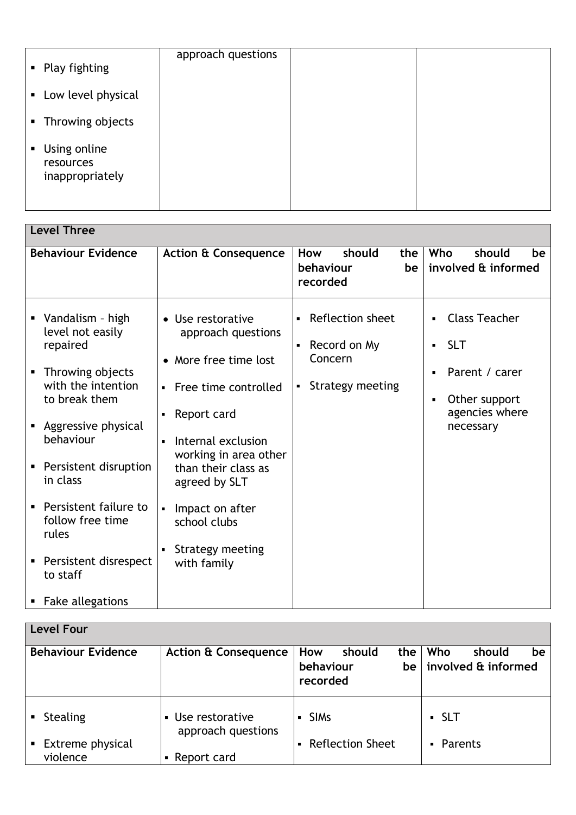| • Play fighting                                | approach questions |  |
|------------------------------------------------|--------------------|--|
| • Low level physical                           |                    |  |
| • Throwing objects                             |                    |  |
| • Using online<br>resources<br>inappropriately |                    |  |

| <b>Level Three</b>                                                                                                                                                                                                                                                                                             |                                                                                                                                                                                                                                                                                                                                              |                                                                                                     |                                                                                                           |
|----------------------------------------------------------------------------------------------------------------------------------------------------------------------------------------------------------------------------------------------------------------------------------------------------------------|----------------------------------------------------------------------------------------------------------------------------------------------------------------------------------------------------------------------------------------------------------------------------------------------------------------------------------------------|-----------------------------------------------------------------------------------------------------|-----------------------------------------------------------------------------------------------------------|
| <b>Behaviour Evidence</b>                                                                                                                                                                                                                                                                                      | <b>Action &amp; Consequence</b>                                                                                                                                                                                                                                                                                                              | should<br>How<br>the<br>behaviour<br>be<br>recorded                                                 | Who<br>should<br>be<br>involved & informed                                                                |
| • Vandalism - high<br>level not easily<br>repaired<br>• Throwing objects<br>with the intention<br>to break them<br>Aggressive physical<br>behaviour<br>Persistent disruption<br>in class<br>Persistent failure to<br>٠<br>follow free time<br>rules<br>Persistent disrespect<br>to staff<br>• Fake allegations | • Use restorative<br>approach questions<br>• More free time lost<br>Free time controlled<br>$\blacksquare$<br>Report card<br>$\blacksquare$<br>Internal exclusion<br>$\blacksquare$<br>working in area other<br>than their class as<br>agreed by SLT<br>Impact on after<br>$\blacksquare$<br>school clubs<br>Strategy meeting<br>with family | Reflection sheet<br>$\blacksquare$<br>Record on My<br>Concern<br>Strategy meeting<br>$\blacksquare$ | <b>Class Teacher</b><br><b>SLT</b><br>Parent / carer<br>Other support<br>٠<br>agencies where<br>necessary |

| Level Four                          |                                                         |                                                     |                                            |
|-------------------------------------|---------------------------------------------------------|-----------------------------------------------------|--------------------------------------------|
| <b>Behaviour Evidence</b>           | <b>Action &amp; Consequence</b>                         | How<br>the<br>should<br>behaviour<br>be<br>recorded | Who<br>should<br>be<br>involved & informed |
| <b>Stealing</b>                     | Use restorative<br>$\blacksquare$<br>approach questions | <b>SIMS</b>                                         | $\blacksquare$ SLT                         |
| <b>Extreme physical</b><br>violence | Report card                                             | <b>Reflection Sheet</b>                             | • Parents                                  |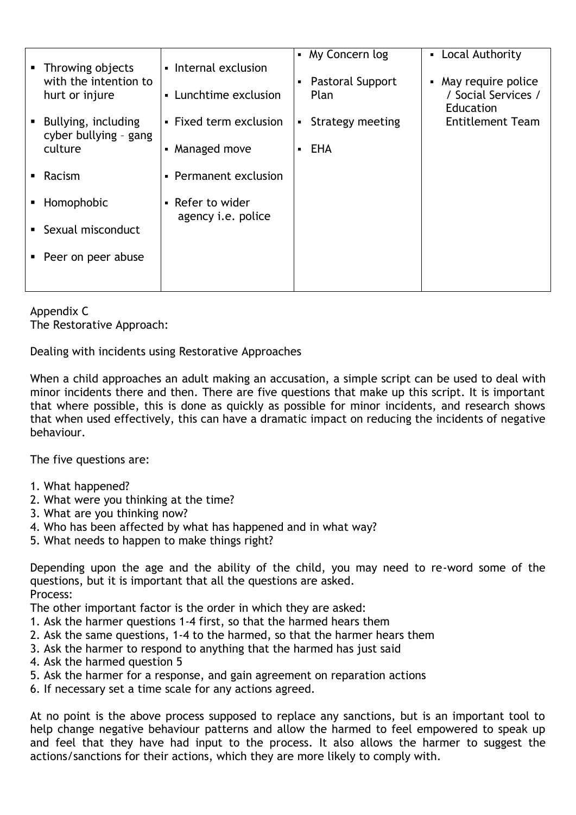|                                         |                                               | • My Concern log         | • Local Authority                                               |
|-----------------------------------------|-----------------------------------------------|--------------------------|-----------------------------------------------------------------|
| • Throwing objects                      | • Internal exclusion                          |                          |                                                                 |
| with the intention to<br>hurt or injure | • Lunchtime exclusion                         | Pastoral Support<br>Plan | • May require police<br>/ Social Services /<br><b>Education</b> |
| • Bullying, including                   | • Fixed term exclusion                        | Strategy meeting         | <b>Entitlement Team</b>                                         |
| cyber bullying - gang                   |                                               |                          |                                                                 |
| culture                                 | • Managed move                                | <b>EHA</b>               |                                                                 |
| $\blacksquare$ Racism                   | • Permanent exclusion                         |                          |                                                                 |
| • Homophobic                            | • Refer to wider<br>agency <i>i.e.</i> police |                          |                                                                 |
| • Sexual misconduct                     |                                               |                          |                                                                 |
| • Peer on peer abuse                    |                                               |                          |                                                                 |
|                                         |                                               |                          |                                                                 |
|                                         |                                               |                          |                                                                 |

Appendix C The Restorative Approach:

Dealing with incidents using Restorative Approaches

When a child approaches an adult making an accusation, a simple script can be used to deal with minor incidents there and then. There are five questions that make up this script. It is important that where possible, this is done as quickly as possible for minor incidents, and research shows that when used effectively, this can have a dramatic impact on reducing the incidents of negative behaviour.

The five questions are:

- 1. What happened?
- 2. What were you thinking at the time?
- 3. What are you thinking now?
- 4. Who has been affected by what has happened and in what way?
- 5. What needs to happen to make things right?

Depending upon the age and the ability of the child, you may need to re-word some of the questions, but it is important that all the questions are asked. Process:

- The other important factor is the order in which they are asked:
- 1. Ask the harmer questions 1-4 first, so that the harmed hears them
- 2. Ask the same questions, 1-4 to the harmed, so that the harmer hears them
- 3. Ask the harmer to respond to anything that the harmed has just said
- 4. Ask the harmed question 5
- 5. Ask the harmer for a response, and gain agreement on reparation actions
- 6. If necessary set a time scale for any actions agreed.

At no point is the above process supposed to replace any sanctions, but is an important tool to help change negative behaviour patterns and allow the harmed to feel empowered to speak up and feel that they have had input to the process. It also allows the harmer to suggest the actions/sanctions for their actions, which they are more likely to comply with.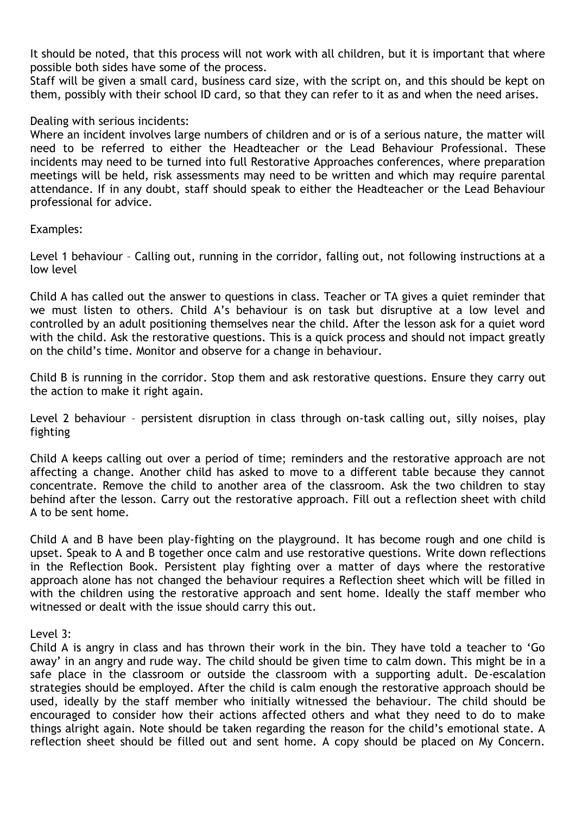It should be noted, that this process will not work with all children, but it is important that where possible both sides have some of the process.

Staff will be given a small card, business card size, with the script on, and this should be kept on them, possibly with their school ID card, so that they can refer to it as and when the need arises.

#### Dealing with serious incidents:

Where an incident involves large numbers of children and or is of a serious nature, the matter will need to be referred to either the Headteacher or the Lead Behaviour Professional. These incidents may need to be turned into full Restorative Approaches conferences, where preparation meetings will be held, risk assessments may need to be written and which may require parental attendance. If in any doubt, staff should speak to either the Headteacher or the Lead Behaviour professional for advice.

### Examples:

Level 1 behaviour – Calling out, running in the corridor, falling out, not following instructions at a low level

Child A has called out the answer to questions in class. Teacher or TA gives a quiet reminder that we must listen to others. Child A's behaviour is on task but disruptive at a low level and controlled by an adult positioning themselves near the child. After the lesson ask for a quiet word with the child. Ask the restorative questions. This is a quick process and should not impact greatly on the child's time. Monitor and observe for a change in behaviour.

Child B is running in the corridor. Stop them and ask restorative questions. Ensure they carry out the action to make it right again.

Level 2 behaviour – persistent disruption in class through on-task calling out, silly noises, play fighting

Child A keeps calling out over a period of time; reminders and the restorative approach are not affecting a change. Another child has asked to move to a different table because they cannot concentrate. Remove the child to another area of the classroom. Ask the two children to stay behind after the lesson. Carry out the restorative approach. Fill out a reflection sheet with child A to be sent home.

Child A and B have been play-fighting on the playground. It has become rough and one child is upset. Speak to A and B together once calm and use restorative questions. Write down reflections in the Reflection Book. Persistent play fighting over a matter of days where the restorative approach alone has not changed the behaviour requires a Reflection sheet which will be filled in with the children using the restorative approach and sent home. Ideally the staff member who witnessed or dealt with the issue should carry this out.

Level 3:

Child A is angry in class and has thrown their work in the bin. They have told a teacher to 'Go away' in an angry and rude way. The child should be given time to calm down. This might be in a safe place in the classroom or outside the classroom with a supporting adult. De-escalation strategies should be employed. After the child is calm enough the restorative approach should be used, ideally by the staff member who initially witnessed the behaviour. The child should be encouraged to consider how their actions affected others and what they need to do to make things alright again. Note should be taken regarding the reason for the child's emotional state. A reflection sheet should be filled out and sent home. A copy should be placed on My Concern.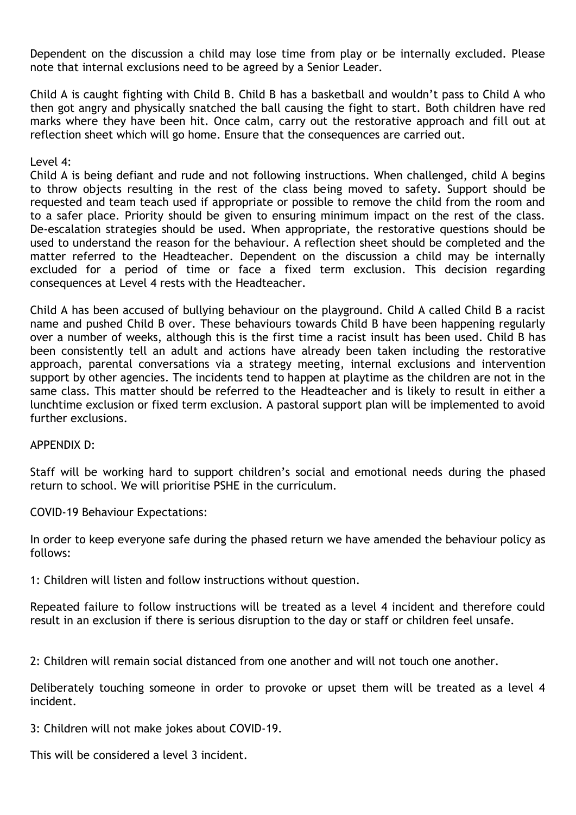Dependent on the discussion a child may lose time from play or be internally excluded. Please note that internal exclusions need to be agreed by a Senior Leader.

Child A is caught fighting with Child B. Child B has a basketball and wouldn't pass to Child A who then got angry and physically snatched the ball causing the fight to start. Both children have red marks where they have been hit. Once calm, carry out the restorative approach and fill out at reflection sheet which will go home. Ensure that the consequences are carried out.

Level 4:

Child A is being defiant and rude and not following instructions. When challenged, child A begins to throw objects resulting in the rest of the class being moved to safety. Support should be requested and team teach used if appropriate or possible to remove the child from the room and to a safer place. Priority should be given to ensuring minimum impact on the rest of the class. De-escalation strategies should be used. When appropriate, the restorative questions should be used to understand the reason for the behaviour. A reflection sheet should be completed and the matter referred to the Headteacher. Dependent on the discussion a child may be internally excluded for a period of time or face a fixed term exclusion. This decision regarding consequences at Level 4 rests with the Headteacher.

Child A has been accused of bullying behaviour on the playground. Child A called Child B a racist name and pushed Child B over. These behaviours towards Child B have been happening regularly over a number of weeks, although this is the first time a racist insult has been used. Child B has been consistently tell an adult and actions have already been taken including the restorative approach, parental conversations via a strategy meeting, internal exclusions and intervention support by other agencies. The incidents tend to happen at playtime as the children are not in the same class. This matter should be referred to the Headteacher and is likely to result in either a lunchtime exclusion or fixed term exclusion. A pastoral support plan will be implemented to avoid further exclusions.

APPENDIX D:

Staff will be working hard to support children's social and emotional needs during the phased return to school. We will prioritise PSHE in the curriculum.

COVID-19 Behaviour Expectations:

In order to keep everyone safe during the phased return we have amended the behaviour policy as follows:

1: Children will listen and follow instructions without question.

Repeated failure to follow instructions will be treated as a level 4 incident and therefore could result in an exclusion if there is serious disruption to the day or staff or children feel unsafe.

2: Children will remain social distanced from one another and will not touch one another.

Deliberately touching someone in order to provoke or upset them will be treated as a level 4 incident.

3: Children will not make jokes about COVID-19.

This will be considered a level 3 incident.